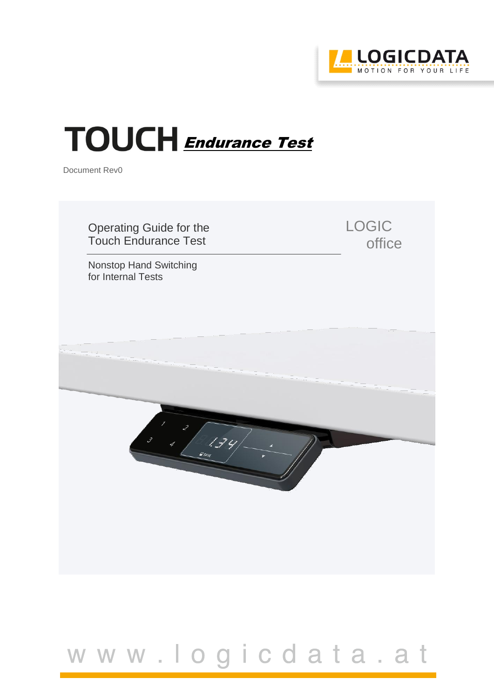

# TOUCH Endurance Test

Document Rev0



## www.logicdata.at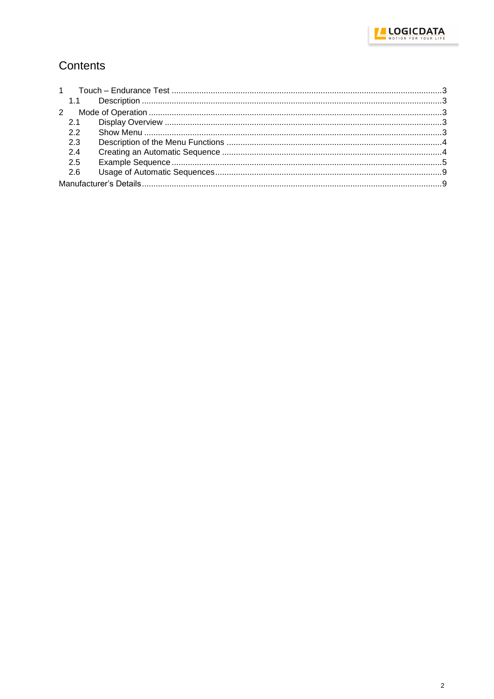

### Contents

| 2.1 |  |  |
|-----|--|--|
| 2.2 |  |  |
| 2.3 |  |  |
| 2.4 |  |  |
| 2.5 |  |  |
| 2.6 |  |  |
|     |  |  |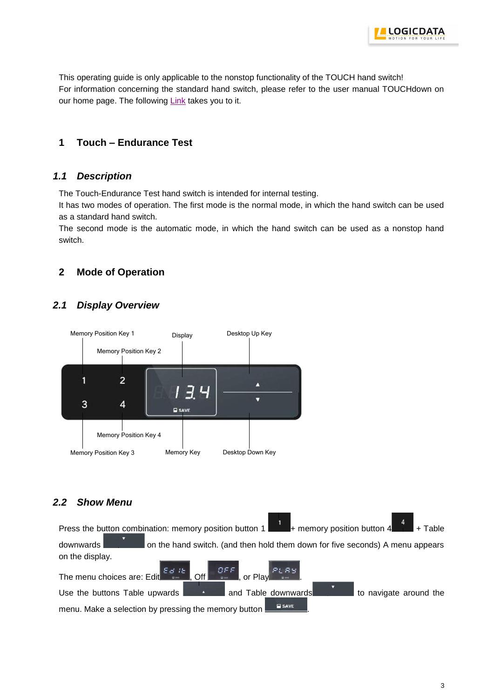

This operating guide is only applicable to the nonstop functionality of the TOUCH hand switch! For information concerning the standard hand switch, please refer to the user manual TOUCHdown on our home page. The following [Link](http://logicdata.net/content/uploads/2015/08/Manual_TOUCH-UD_English_Rev3.pdf) takes you to it.

#### <span id="page-2-0"></span>**1 Touch – Endurance Test**

#### <span id="page-2-1"></span>*1.1 Description*

The Touch-Endurance Test hand switch is intended for internal testing.

It has two modes of operation. The first mode is the normal mode, in which the hand switch can be used as a standard hand switch.

The second mode is the automatic mode, in which the hand switch can be used as a nonstop hand switch.

#### <span id="page-2-2"></span>**2 Mode of Operation**

#### <span id="page-2-3"></span>*2.1 Display Overview*



#### <span id="page-2-4"></span>*2.2 Show Menu*

 $\mathbf{1}$ Press the button combination: memory position button  $1 + \text{memory position button 4 + Table}$ downwards on the hand switch. (and then hold them down for five seconds) A menu appears on the display. The menu choices are: Edit  $\begin{bmatrix} \varepsilon_{\alpha} & \varepsilon_{\alpha} \\ \varepsilon_{\alpha} & \varepsilon_{\alpha} \end{bmatrix}$  of  $\begin{bmatrix} \varepsilon_{\alpha} & \varepsilon_{\alpha} \\ \varepsilon_{\alpha} & \varepsilon_{\alpha} \end{bmatrix}$  or Pla n E E PLRY Use the buttons Table upwards **and Table downwards** to navigate around the

menu. Make a selection by pressing the memory button **E** SAVE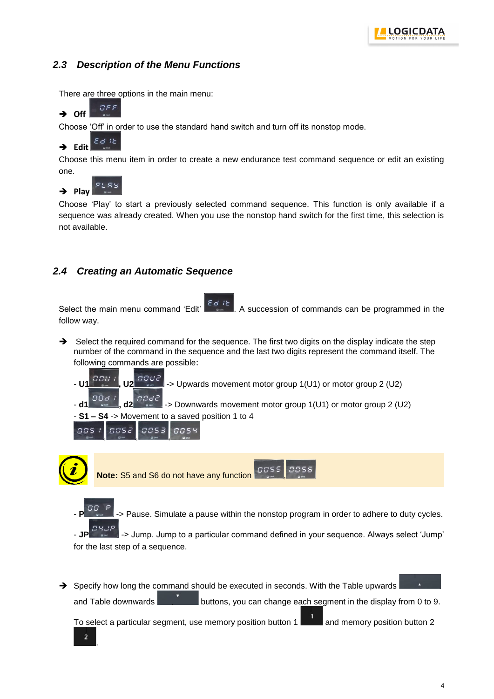#### <span id="page-3-0"></span>*2.3 Description of the Menu Functions*

There are three options in the main menu:



Choose 'Off' in order to use the standard hand switch and turn off its nonstop mode.

#### $E/d$  it  $\rightarrow$  Edit

Choose this menu item in order to create a new endurance test command sequence or edit an existing one.



Choose 'Play' to start a previously selected command sequence. This function is only available if a sequence was already created. When you use the nonstop hand switch for the first time, this selection is not available.

#### <span id="page-3-1"></span>*2.4 Creating an Automatic Sequence*

Select the main menu command 'Edit'  $\begin{bmatrix} 5d & b \\ c & d \end{bmatrix}$ . A succession of commands can be programmed in the follow way.

 $\rightarrow$  Select the required command for the sequence. The first two digits on the display indicate the step number of the command in the sequence and the last two digits represent the command itself. The following commands are possible:





- **S1 – S4** -> Movement to a saved position 1 to 4

nns



Pause. Simulate a pause within the nonstop program in order to adhere to duty cycles.

- **JP**  $\blacksquare$  -> Jump. Jump to a particular command defined in your sequence. Always select 'Jump' for the last step of a sequence.

 $\rightarrow$  Specify how long the command should be executed in seconds. With the Table upwards

and Table downwards buttons, you can change each segment in the display from 0 to 9.

To select a particular segment, use memory position button  $1$  and memory position button 2

 $BBC$ 

mms

.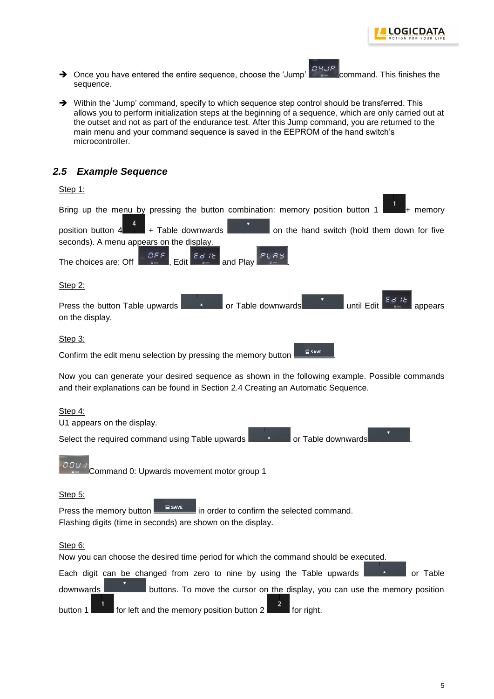

- → Once you have entered the entire sequence, choose the 'Jump' command. This finishes the sequence.
- $\rightarrow$  Within the 'Jump' command, specify to which sequence step control should be transferred. This allows you to perform initialization steps at the beginning of a sequence, which are only carried out at the outset and not as part of the endurance test. After this Jump command, you are returned to the main menu and your command sequence is saved in the EEPROM of the hand switch's microcontroller.

#### <span id="page-4-0"></span>*2.5 Example Sequence*

| Step 1:                                                                                                                                                                               |  |  |  |  |  |
|---------------------------------------------------------------------------------------------------------------------------------------------------------------------------------------|--|--|--|--|--|
| Bring up the menu by pressing the button combination: memory position button 1<br>l+ memorv                                                                                           |  |  |  |  |  |
| + Table downwards<br>position button 4<br>on the hand switch (hold them down for five<br>seconds). A menu appears on the display.                                                     |  |  |  |  |  |
| $\left[\begin{array}{c} 0.55E \\ 0.01E \\ 0.01E \end{array}\right]$ , Edit $\left[\begin{array}{c} E \neq 1E \\ 0.01E \end{array}\right]$                                             |  |  |  |  |  |
| The choices are: Off<br><b>Execution</b> Jand Play                                                                                                                                    |  |  |  |  |  |
| Step 2:                                                                                                                                                                               |  |  |  |  |  |
| or Table downwards<br>until Edit<br>Press the button Table upwards<br>A<br>on the display.                                                                                            |  |  |  |  |  |
| Step 3:                                                                                                                                                                               |  |  |  |  |  |
| <b>SAVE</b><br>Confirm the edit menu selection by pressing the memory button                                                                                                          |  |  |  |  |  |
| Now you can generate your desired sequence as shown in the following example. Possible commands<br>and their explanations can be found in Section 2.4 Creating an Automatic Sequence. |  |  |  |  |  |
| Step 4:                                                                                                                                                                               |  |  |  |  |  |
| U1 appears on the display.                                                                                                                                                            |  |  |  |  |  |
| Select the required command using Table upwards<br>or Table downwards                                                                                                                 |  |  |  |  |  |

**DOU** Command 0: Upwards movement motor group 1

Step 5:

Press the memory button **in FigAVE** in order to confirm the selected command. Flashing digits (time in seconds) are shown on the display.

#### Step 6:

Now you can choose the desired time period for which the command should be executed.

Each digit can be changed from zero to nine by using the Table upwards  $\Box$  **the same of Table** downwards **buttons**. To move the cursor on the display, you can use the memory position

button 1 **for left and the memory position button 2** for right.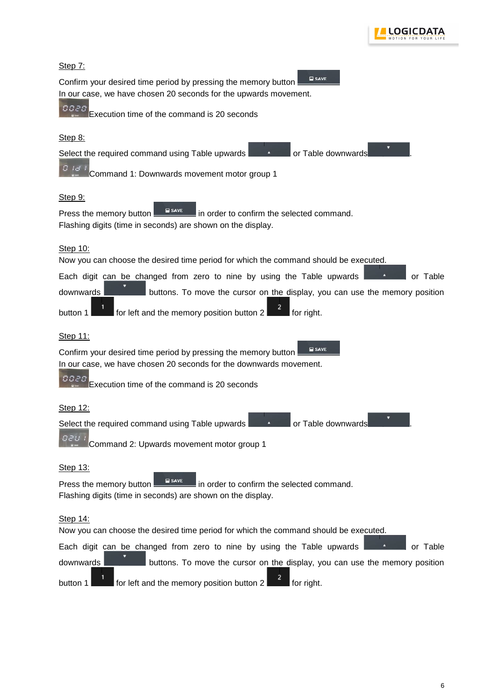

| Step 7:                                                                                                                                                    |  |  |  |  |
|------------------------------------------------------------------------------------------------------------------------------------------------------------|--|--|--|--|
| <b>SAVE</b><br>Confirm your desired time period by pressing the memory button<br>In our case, we have chosen 20 seconds for the upwards movement.          |  |  |  |  |
| 0020<br>Execution time of the command is 20 seconds                                                                                                        |  |  |  |  |
| Step 8:                                                                                                                                                    |  |  |  |  |
| Select the required command using Table upwards<br>or Table downwards                                                                                      |  |  |  |  |
| $B$ id i<br>Command 1: Downwards movement motor group 1                                                                                                    |  |  |  |  |
| <u>Step 9:</u>                                                                                                                                             |  |  |  |  |
| $\blacksquare$ SAVE<br>in order to confirm the selected command.<br>Press the memory button<br>Flashing digits (time in seconds) are shown on the display. |  |  |  |  |
| Step 10:<br>Now you can choose the desired time period for which the command should be executed.                                                           |  |  |  |  |
| or Table<br>Each digit can be changed from zero to nine by using the Table upwards                                                                         |  |  |  |  |
| downwards<br>buttons. To move the cursor on the display, you can use the memory position                                                                   |  |  |  |  |
| $\overline{a}$<br>for left and the memory position button 2<br>$\blacksquare$ for right.<br>button 1                                                       |  |  |  |  |
| Step 11:                                                                                                                                                   |  |  |  |  |
| <b>SAVE</b><br>Confirm your desired time period by pressing the memory button<br>In our case, we have chosen 20 seconds for the downwards movement.        |  |  |  |  |
| uuaa<br>Execution time of the command is 20 seconds                                                                                                        |  |  |  |  |
|                                                                                                                                                            |  |  |  |  |
| Step 12:                                                                                                                                                   |  |  |  |  |
| Select the required command using Table upwards<br>or Table downwards                                                                                      |  |  |  |  |
| Command 2: Upwards movement motor group 1                                                                                                                  |  |  |  |  |
| Step 13:                                                                                                                                                   |  |  |  |  |
| <b>SAVE</b><br>in order to confirm the selected command.<br>Press the memory button<br>Flashing digits (time in seconds) are shown on the display.         |  |  |  |  |
| Step 14:<br>Now you can choose the desired time period for which the command should be executed.                                                           |  |  |  |  |
| Each digit can be changed from zero to nine by using the Table upwards<br>or Table                                                                         |  |  |  |  |
| downwards<br>buttons. To move the cursor on the display, you can use the memory position                                                                   |  |  |  |  |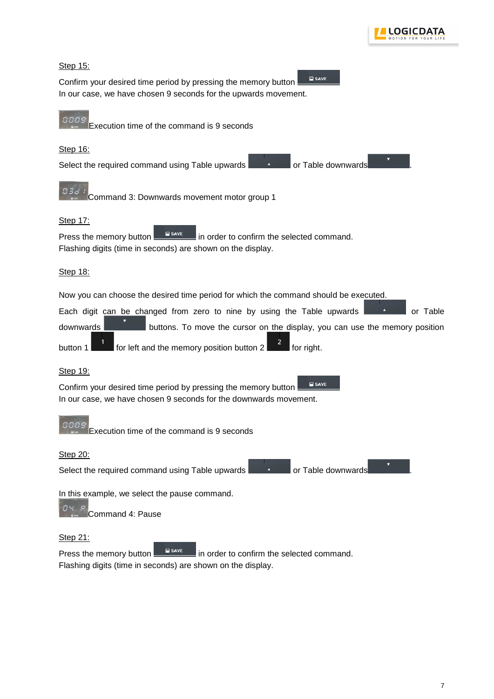



Flashing digits (time in seconds) are shown on the display.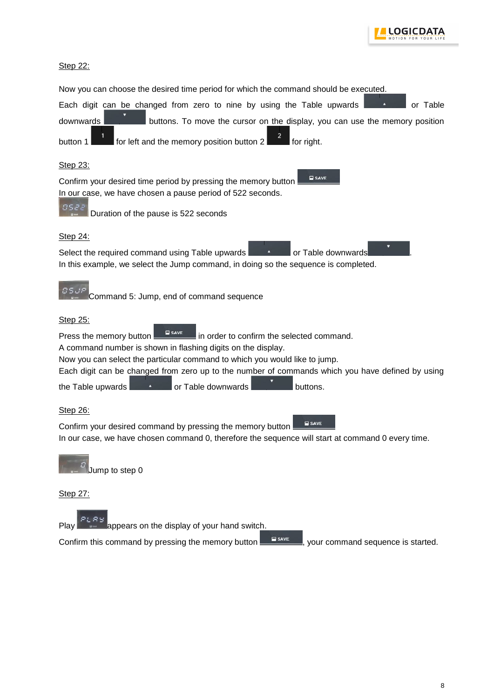

#### Step 22:

<span id="page-7-0"></span>